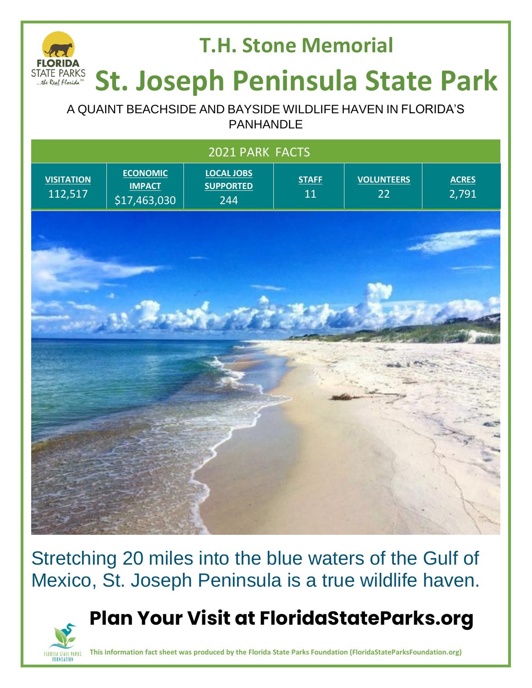#### **T.H. Stone Memorial** STATE PARKS<br>...the Real Florida<sup>84</sup> **St. Joseph Peninsula State Park**

A QUAINT BEACHSIDE AND BAYSIDE WILDLIFE HAVEN IN FLORIDA'S PANHANDLE

|                                                                                                                                                                                                            | 2021 PARK FACTS |  |
|------------------------------------------------------------------------------------------------------------------------------------------------------------------------------------------------------------|-----------------|--|
| <b>ECONOMIC</b><br><b>LOCAL JOBS</b><br><b>VISITATION</b><br><b>VOLUNTEERS</b><br><b>STAFF</b><br><b>ACRES</b><br><b>IMPACT</b><br><b>SUPPORTED</b><br>11<br>112,517<br>22<br>2,791<br>\$17,463,030<br>244 |                 |  |
|                                                                                                                                                                                                            |                 |  |
|                                                                                                                                                                                                            |                 |  |
|                                                                                                                                                                                                            |                 |  |
|                                                                                                                                                                                                            |                 |  |
|                                                                                                                                                                                                            |                 |  |
|                                                                                                                                                                                                            |                 |  |
|                                                                                                                                                                                                            |                 |  |
|                                                                                                                                                                                                            |                 |  |

Stretching 20 miles into the blue waters of the Gulf of Mexico, St. Joseph Peninsula is a true wildlife haven.

### **Plan Your Visit at FloridaStateParks.org**



**This information fact sheet was produced by the Florida State Parks Foundation (FloridaStateParksFoundation.org)**